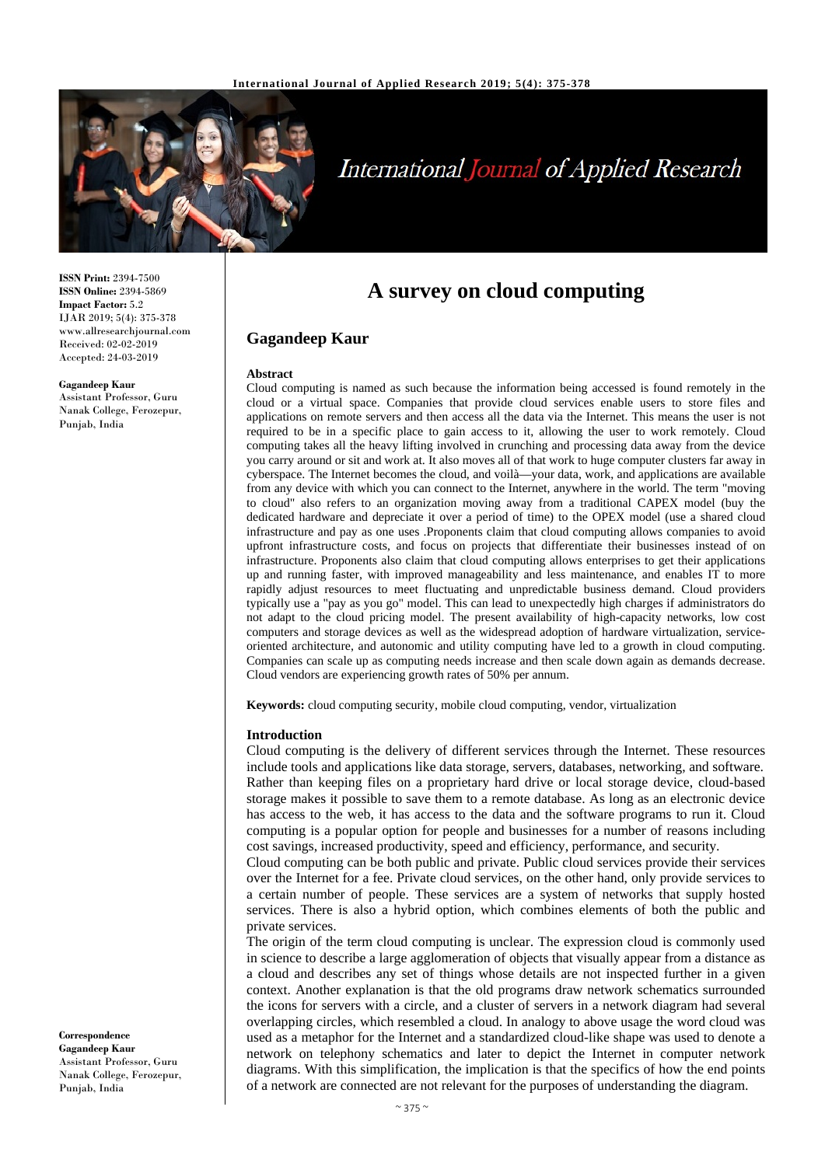

# **International Journal of Applied Research**

**ISSN Print:** 2394-7500 **ISSN Online:** 2394-5869 **Impact Factor:** 5.2 IJAR 2019; 5(4): 375-378 www.allresearchjournal.com Received: 02-02-2019 Accepted: 24-03-2019

#### **Gagandeep Kaur**

Assistant Professor, Guru Nanak College, Ferozepur, Punjab, India

**A survey on cloud computing**

## **Gagandeep Kaur**

#### **Abstract**

Cloud computing is named as such because the information being accessed is found remotely in the cloud or a virtual space. Companies that provide cloud services enable users to store files and applications on remote servers and then access all the data via the Internet. This means the user is not required to be in a specific place to gain access to it, allowing the user to work remotely. Cloud computing takes all the heavy lifting involved in crunching and processing data away from the device you carry around or sit and work at. It also moves all of that work to huge computer clusters far away in cyberspace. The Internet becomes the cloud, and voilà—your data, work, and applications are available from any device with which you can connect to the Internet, anywhere in the world. The term "moving to cloud" also refers to an organization moving away from a traditional CAPEX model (buy the dedicated hardware and depreciate it over a period of time) to the OPEX model (use a shared cloud infrastructure and pay as one uses .Proponents claim that cloud computing allows companies to avoid upfront infrastructure costs, and focus on projects that differentiate their businesses instead of on infrastructure. Proponents also claim that cloud computing allows enterprises to get their applications up and running faster, with improved manageability and less maintenance, and enables IT to more rapidly adjust resources to meet fluctuating and unpredictable business demand. Cloud providers typically use a "pay as you go" model. This can lead to unexpectedly high charges if administrators do not adapt to the cloud pricing model. The present availability of high-capacity networks, low cost computers and storage devices as well as the widespread adoption of hardware virtualization, serviceoriented architecture, and autonomic and utility computing have led to a growth in cloud computing. Companies can scale up as computing needs increase and then scale down again as demands decrease. Cloud vendors are experiencing growth rates of 50% per annum.

**Keywords:** cloud computing security, mobile cloud computing, vendor, virtualization

#### **Introduction**

Cloud computing is the delivery of different services through the Internet. These resources include tools and applications like data storage, servers, databases, networking, and software. Rather than keeping files on a proprietary hard drive or local storage device, cloud-based storage makes it possible to save them to a remote database. As long as an electronic device has access to the web, it has access to the data and the software programs to run it. Cloud computing is a popular option for people and businesses for a number of reasons including cost savings, increased productivity, speed and efficiency, performance, and security.

Cloud computing can be both public and private. Public cloud services provide their services over the Internet for a fee. Private cloud services, on the other hand, only provide services to a certain number of people. These services are a system of networks that supply hosted services. There is also a hybrid option, which combines elements of both the public and private services.

The origin of the term cloud computing is unclear. The expression cloud is commonly used in science to describe a large agglomeration of objects that visually appear from a distance as a cloud and describes any set of things whose details are not inspected further in a given context. Another explanation is that the old programs draw network schematics surrounded the icons for servers with a circle, and a cluster of servers in a network diagram had several overlapping circles, which resembled a cloud. In analogy to above usage the word cloud was used as a metaphor for the Internet and a standardized cloud-like shape was used to denote a network on telephony schematics and later to depict the Internet in computer network diagrams. With this simplification, the implication is that the specifics of how the end points of a network are connected are not relevant for the purposes of understanding the diagram.

**Correspondence Gagandeep Kaur** Assistant Professor, Guru Nanak College, Ferozepur, Punjab, India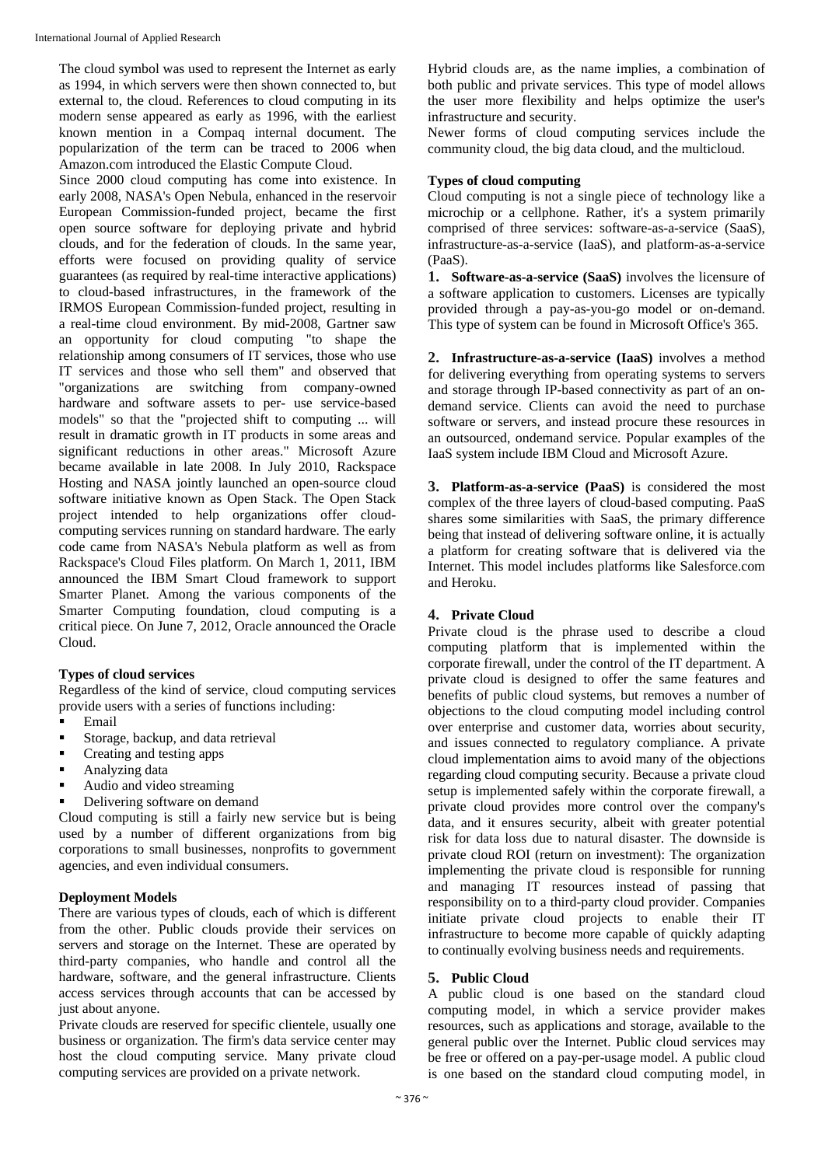The cloud symbol was used to represent the Internet as early as 1994, in which servers were then shown connected to, but external to, the cloud. References to cloud computing in its modern sense appeared as early as 1996, with the earliest known mention in a Compaq internal document. The popularization of the term can be traced to 2006 when Amazon.com introduced the Elastic Compute Cloud.

Since 2000 cloud computing has come into existence. In early 2008, NASA's Open Nebula, enhanced in the reservoir European Commission-funded project, became the first open source software for deploying private and hybrid clouds, and for the federation of clouds. In the same year, efforts were focused on providing quality of service guarantees (as required by real-time interactive applications) to cloud-based infrastructures, in the framework of the IRMOS European Commission-funded project, resulting in a real-time cloud environment. By mid-2008, Gartner saw an opportunity for cloud computing "to shape the relationship among consumers of IT services, those who use IT services and those who sell them" and observed that "organizations are switching from company-owned hardware and software assets to per- use service-based models" so that the "projected shift to computing ... will result in dramatic growth in IT products in some areas and significant reductions in other areas." Microsoft Azure became available in late 2008. In July 2010, Rackspace Hosting and NASA jointly launched an open-source cloud software initiative known as Open Stack. The Open Stack project intended to help organizations offer cloudcomputing services running on standard hardware. The early code came from NASA's Nebula platform as well as from Rackspace's Cloud Files platform. On March 1, 2011, IBM announced the IBM Smart Cloud framework to support Smarter Planet. Among the various components of the Smarter Computing foundation, cloud computing is a critical piece. On June 7, 2012, Oracle announced the Oracle Cloud.

# **Types of cloud services**

Regardless of the kind of service, cloud computing services provide users with a series of functions including:

- $Email$
- Storage, backup, and data retrieval
- Creating and testing apps
- **Analyzing data**
- Audio and video streaming
- Delivering software on demand

Cloud computing is still a fairly new service but is being used by a number of different organizations from big corporations to small businesses, nonprofits to government agencies, and even individual consumers.

# **Deployment Models**

There are various types of clouds, each of which is different from the other. Public clouds provide their services on servers and storage on the Internet. These are operated by third-party companies, who handle and control all the hardware, software, and the general infrastructure. Clients access services through accounts that can be accessed by just about anyone.

Private clouds are reserved for specific clientele, usually one business or organization. The firm's data service center may host the cloud computing service. Many private cloud computing services are provided on a private network.

Hybrid clouds are, as the name implies, a combination of both public and private services. This type of model allows the user more flexibility and helps optimize the user's infrastructure and security.

Newer forms of cloud computing services include the community cloud, the big data cloud, and the multicloud.

# **Types of cloud computing**

Cloud computing is not a single piece of technology like a microchip or a cellphone. Rather, it's a system primarily comprised of three services: software-as-a-service (SaaS), infrastructure-as-a-service (IaaS), and platform-as-a-service (PaaS).

**1. Software-as-a-service (SaaS)** involves the licensure of a software application to customers. Licenses are typically provided through a pay-as-you-go model or on-demand. This type of system can be found in Microsoft Office's 365.

**2. Infrastructure-as-a-service (IaaS)** involves a method for delivering everything from operating systems to servers and storage through IP-based connectivity as part of an ondemand service. Clients can avoid the need to purchase software or servers, and instead procure these resources in an outsourced, ondemand service. Popular examples of the IaaS system include IBM Cloud and Microsoft Azure.

**3. Platform-as-a-service (PaaS)** is considered the most complex of the three layers of cloud-based computing. PaaS shares some similarities with SaaS, the primary difference being that instead of delivering software online, it is actually a platform for creating software that is delivered via the Internet. This model includes platforms like Salesforce.com and Heroku.

# **4. Private Cloud**

Private cloud is the phrase used to describe a cloud computing platform that is implemented within the corporate firewall, under the control of the IT department. A private cloud is designed to offer the same features and benefits of public cloud systems, but removes a number of objections to the cloud computing model including control over enterprise and customer data, worries about security, and issues connected to regulatory compliance. A private cloud implementation aims to avoid many of the objections regarding cloud computing security. Because a private cloud setup is implemented safely within the corporate firewall, a private cloud provides more control over the company's data, and it ensures security, albeit with greater potential risk for data loss due to natural disaster. The downside is private cloud ROI (return on investment): The organization implementing the private cloud is responsible for running and managing IT resources instead of passing that responsibility on to a third-party cloud provider. Companies initiate private cloud projects to enable their IT infrastructure to become more capable of quickly adapting to continually evolving business needs and requirements.

# **5. Public Cloud**

A public cloud is one based on the standard cloud computing model, in which a service provider makes resources, such as applications and storage, available to the general public over the Internet. Public cloud services may be free or offered on a pay-per-usage model. A public cloud is one based on the standard cloud computing model, in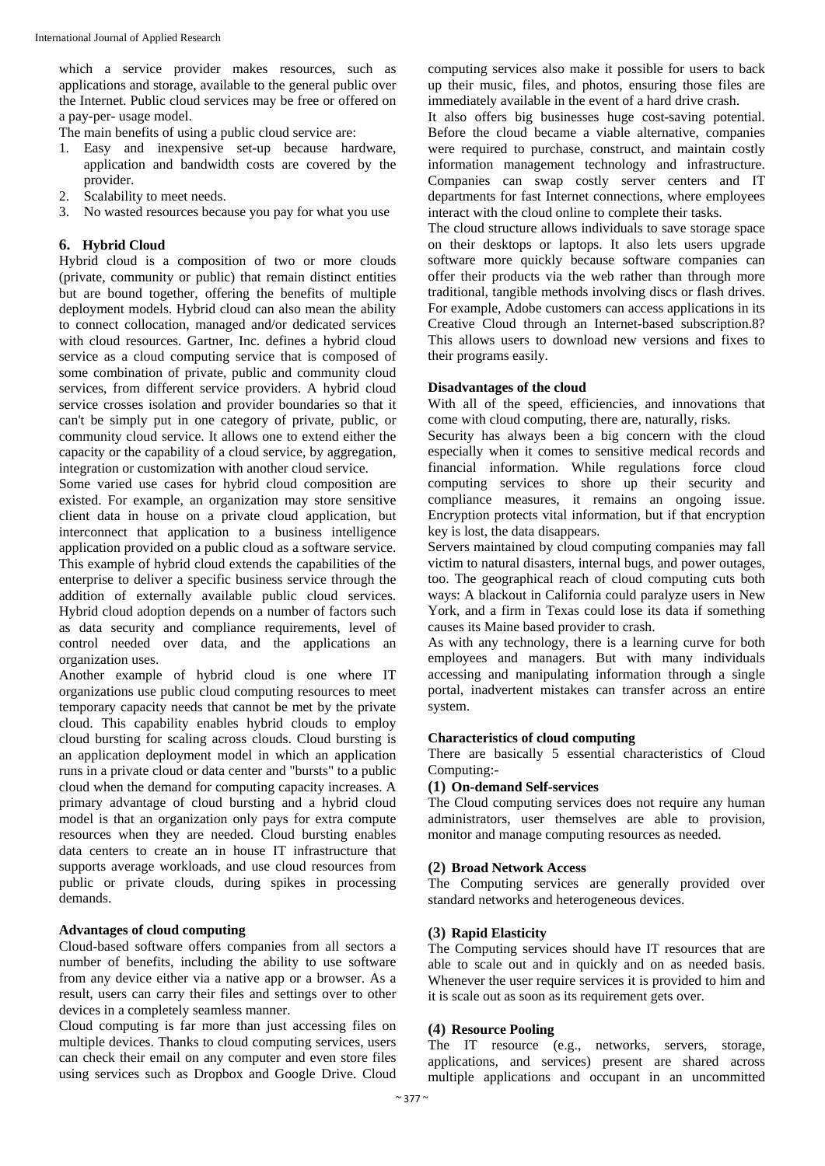which a service provider makes resources, such as applications and storage, available to the general public over the Internet. Public cloud services may be free or offered on a pay-per- usage model.

The main benefits of using a public cloud service are:

- 1. Easy and inexpensive set-up because hardware, application and bandwidth costs are covered by the provider.
- 2. Scalability to meet needs.
- 3. No wasted resources because you pay for what you use

#### **6. Hybrid Cloud**

Hybrid cloud is a composition of two or more clouds (private, community or public) that remain distinct entities but are bound together, offering the benefits of multiple deployment models. Hybrid cloud can also mean the ability to connect collocation, managed and/or dedicated services with cloud resources. Gartner, Inc. defines a hybrid cloud service as a cloud computing service that is composed of some combination of private, public and community cloud services, from different service providers. A hybrid cloud service crosses isolation and provider boundaries so that it can't be simply put in one category of private, public, or community cloud service. It allows one to extend either the capacity or the capability of a cloud service, by aggregation, integration or customization with another cloud service.

Some varied use cases for hybrid cloud composition are existed. For example, an organization may store sensitive client data in house on a private cloud application, but interconnect that application to a business intelligence application provided on a public cloud as a software service. This example of hybrid cloud extends the capabilities of the enterprise to deliver a specific business service through the addition of externally available public cloud services. Hybrid cloud adoption depends on a number of factors such as data security and compliance requirements, level of control needed over data, and the applications an organization uses.

Another example of hybrid cloud is one where IT organizations use public cloud computing resources to meet temporary capacity needs that cannot be met by the private cloud. This capability enables hybrid clouds to employ cloud bursting for scaling across clouds. Cloud bursting is an application deployment model in which an application runs in a private cloud or data center and "bursts" to a public cloud when the demand for computing capacity increases. A primary advantage of cloud bursting and a hybrid cloud model is that an organization only pays for extra compute resources when they are needed. Cloud bursting enables data centers to create an in house IT infrastructure that supports average workloads, and use cloud resources from public or private clouds, during spikes in processing demands.

### **Advantages of cloud computing**

Cloud-based software offers companies from all sectors a number of benefits, including the ability to use software from any device either via a native app or a browser. As a result, users can carry their files and settings over to other devices in a completely seamless manner.

Cloud computing is far more than just accessing files on multiple devices. Thanks to cloud computing services, users can check their email on any computer and even store files using services such as Dropbox and Google Drive. Cloud computing services also make it possible for users to back up their music, files, and photos, ensuring those files are immediately available in the event of a hard drive crash.

It also offers big businesses huge cost-saving potential. Before the cloud became a viable alternative, companies were required to purchase, construct, and maintain costly information management technology and infrastructure. Companies can swap costly server centers and IT departments for fast Internet connections, where employees interact with the cloud online to complete their tasks.

The cloud structure allows individuals to save storage space on their desktops or laptops. It also lets users upgrade software more quickly because software companies can offer their products via the web rather than through more traditional, tangible methods involving discs or flash drives. For example, Adobe customers can access applications in its Creative Cloud through an Internet-based subscription.8? This allows users to download new versions and fixes to their programs easily.

#### **Disadvantages of the cloud**

With all of the speed, efficiencies, and innovations that come with cloud computing, there are, naturally, risks.

Security has always been a big concern with the cloud especially when it comes to sensitive medical records and financial information. While regulations force cloud computing services to shore up their security and compliance measures, it remains an ongoing issue. Encryption protects vital information, but if that encryption key is lost, the data disappears.

Servers maintained by cloud computing companies may fall victim to natural disasters, internal bugs, and power outages, too. The geographical reach of cloud computing cuts both ways: A blackout in California could paralyze users in New York, and a firm in Texas could lose its data if something causes its Maine based provider to crash.

As with any technology, there is a learning curve for both employees and managers. But with many individuals accessing and manipulating information through a single portal, inadvertent mistakes can transfer across an entire system.

#### **Characteristics of cloud computing**

There are basically 5 essential characteristics of Cloud Computing:-

# **(1) On-demand Self-services**

The Cloud computing services does not require any human administrators, user themselves are able to provision, monitor and manage computing resources as needed.

#### **(2) Broad Network Access**

The Computing services are generally provided over standard networks and heterogeneous devices.

## **(3) Rapid Elasticity**

The Computing services should have IT resources that are able to scale out and in quickly and on as needed basis. Whenever the user require services it is provided to him and it is scale out as soon as its requirement gets over.

#### **(4) Resource Pooling**

The IT resource (e.g., networks, servers, storage, applications, and services) present are shared across multiple applications and occupant in an uncommitted